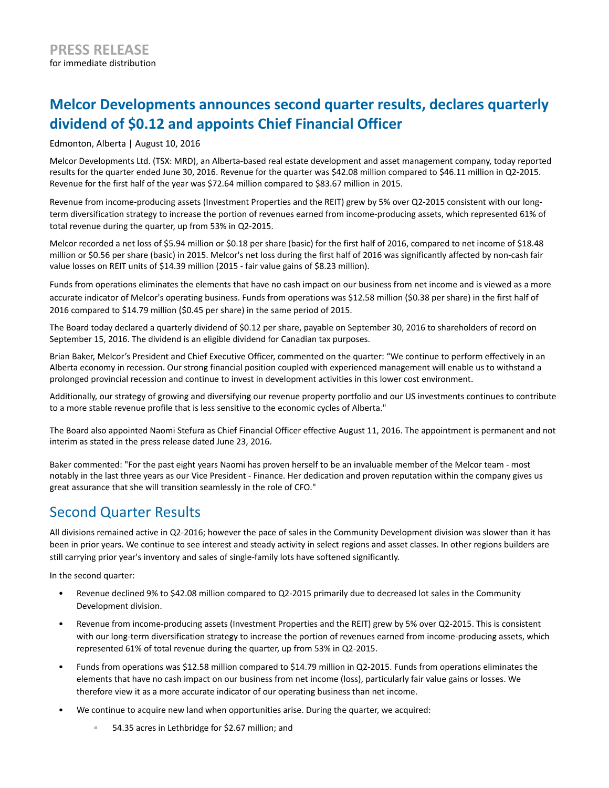# **Melcor Developments announces second quarter results, declares quarterly dividend of \$0.12 and appoints Chief Financial Officer**

Edmonton, Alberta | August 10, 2016

Melcor Developments Ltd. (TSX: MRD), an Alberta-based real estate development and asset management company, today reported results for the quarter ended June 30, 2016. Revenue for the quarter was \$42.08 million compared to \$46.11 million in Q2-2015. Revenue for the first half of the year was \$72.64 million compared to \$83.67 million in 2015.

Revenue from income-producing assets (Investment Properties and the REIT) grew by 5% over Q2-2015 consistent with our longterm diversification strategy to increase the portion of revenues earned from income-producing assets, which represented 61% of total revenue during the quarter, up from 53% in Q2-2015.

Melcor recorded a net loss of \$5.94 million or \$0.18 per share (basic) for the first half of 2016, compared to net income of \$18.48 million or \$0.56 per share (basic) in 2015. Melcor's net loss during the first half of 2016 was significantly affected by non-cash fair value losses on REIT units of \$14.39 million (2015 - fair value gains of \$8.23 million).

Funds from operations eliminates the elements that have no cash impact on our business from net income and is viewed as a more accurate indicator of Melcor's operating business. Funds from operations was \$12.58 million (\$0.38 per share) in the first half of 2016 compared to \$14.79 million (\$0.45 per share) in the same period of 2015.

The Board today declared a quarterly dividend of \$0.12 per share, payable on September 30, 2016 to shareholders of record on September 15, 2016. The dividend is an eligible dividend for Canadian tax purposes.

Brian Baker, Melcor's President and Chief Executive Officer, commented on the quarter: "We continue to perform effectively in an Alberta economy in recession. Our strong financial position coupled with experienced management will enable us to withstand a prolonged provincial recession and continue to invest in development activities in this lower cost environment.

Additionally, our strategy of growing and diversifying our revenue property portfolio and our US investments continues to contribute to a more stable revenue profile that is less sensitive to the economic cycles of Alberta."

The Board also appointed Naomi Stefura as Chief Financial Officer effective August 11, 2016. The appointment is permanent and not interim as stated in the press release dated June 23, 2016.

Baker commented: "For the past eight years Naomi has proven herself to be an invaluable member of the Melcor team - most notably in the last three years as our Vice President - Finance. Her dedication and proven reputation within the company gives us great assurance that she will transition seamlessly in the role of CFO."

## Second Quarter Results

All divisions remained active in Q2-2016; however the pace of sales in the Community Development division was slower than it has been in prior years. We continue to see interest and steady activity in select regions and asset classes. In other regions builders are still carrying prior year's inventory and sales of single-family lots have softened significantly.

In the second quarter:

- Revenue declined 9% to \$42.08 million compared to Q2-2015 primarily due to decreased lot sales in the Community Development division.
- Revenue from income-producing assets (Investment Properties and the REIT) grew by 5% over Q2-2015. This is consistent with our long-term diversification strategy to increase the portion of revenues earned from income-producing assets, which represented 61% of total revenue during the quarter, up from 53% in Q2-2015.
- Funds from operations was \$12.58 million compared to \$14.79 million in Q2-2015. Funds from operations eliminates the elements that have no cash impact on our business from net income (loss), particularly fair value gains or losses. We therefore view it as a more accurate indicator of our operating business than net income.
- We continue to acquire new land when opportunities arise. During the quarter, we acquired:
	- 54.35 acres in Lethbridge for \$2.67 million; and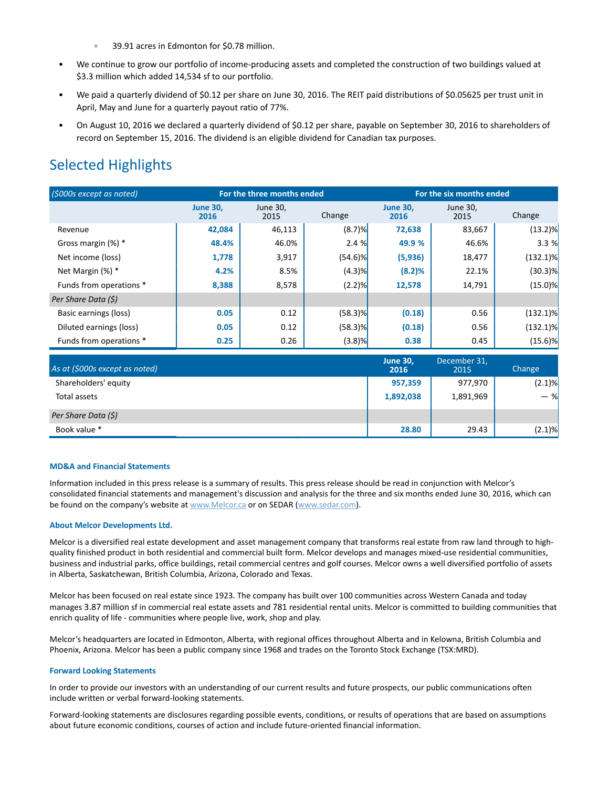- $\circ$ 39.91 acres in Edmonton for \$0.78 million.
- We continue to grow our portfolio of income-producing assets and completed the construction of two buildings valued at \$3.3 million which added 14,534 sf to our portfolio.
- We paid a quarterly dividend of \$0.12 per share on June 30, 2016. The REIT paid distributions of \$0.05625 per trust unit in April, May and June for a quarterly payout ratio of 77%.
- On August 10, 2016 we declared a quarterly dividend of \$0.12 per share, payable on September 30, 2016 to shareholders of record on September 15, 2016. The dividend is an eligible dividend for Canadian tax purposes.

# Selected Highlights

| (\$000s except as noted) | For the three months ended |                  |            | For the six months ended |                  |             |
|--------------------------|----------------------------|------------------|------------|--------------------------|------------------|-------------|
|                          | <b>June 30.</b><br>2016    | June 30,<br>2015 | Change     | <b>June 30.</b><br>2016  | June 30,<br>2015 | Change      |
| Revenue                  | 42,084                     | 46,113           | (8.7)%     | 72,638                   | 83,667           | $(13.2)\%$  |
| Gross margin (%) *       | 48.4%                      | 46.0%            | 2.4%       | 49.9 %                   | 46.6%            | 3.3%        |
| Net income (loss)        | 1,778                      | 3,917            | $(54.6)$ % | (5,936)                  | 18,477           | $(132.1)\%$ |
| Net Margin (%) *         | 4.2%                       | 8.5%             | (4.3)%     | (8.2)%                   | 22.1%            | $(30.3)$ %  |
| Funds from operations *  | 8,388                      | 8,578            | (2.2)%     | 12,578                   | 14,791           | $(15.0)$ %  |
| Per Share Data (\$)      |                            |                  |            |                          |                  |             |
| Basic earnings (loss)    | 0.05                       | 0.12             | $(58.3)$ % | (0.18)                   | 0.56             | $(132.1)\%$ |
| Diluted earnings (loss)  | 0.05                       | 0.12             | $(58.3)$ % | (0.18)                   | 0.56             | $(132.1)\%$ |
| Funds from operations *  | 0.25                       | 0.26             | $(3.8)$ %  | 0.38                     | 0.45             | $(15.6)$ %  |

| As at (\$000s except as noted) | <b>June 30,</b><br>2016 | December 31,<br>2015 | Change    |
|--------------------------------|-------------------------|----------------------|-----------|
| Shareholders' equity           | 957,359                 | 977,970              | $(2.1)\%$ |
| Total assets                   | 1,892,038               | 1,891,969            | $-$ %     |
| Per Share Data (\$)            |                         |                      |           |
| Book value *                   | 28.80                   | 29.43                | $(2.1)\%$ |

#### **MD&A and Financial Statements**

Information included in this press release is a summary of results. This press release should be read in conjunction with Melcor's consolidated financial statements and management's discussion and analysis for the three and six months ended June 30, 2016, which can be found on the company's website at www.Melcor.ca or on SEDAR (www.sedar.com).

### **About Melcor Developments Ltd.**

Melcor is a diversified real estate development and asset management company that transforms real estate from raw land through to highquality finished product in both residential and commercial built form. Melcor develops and manages mixed-use residential communities, business and industrial parks, office buildings, retail commercial centres and golf courses. Melcor owns a well diversified portfolio of assets in Alberta, Saskatchewan, British Columbia, Arizona, Colorado and Texas.

Melcor has been focused on real estate since 1923. The company has built over 100 communities across Western Canada and today manages 3.87 million sf in commercial real estate assets and 781 residential rental units. Melcor is committed to building communities that enrich quality of life - communities where people live, work, shop and play.

Melcor's headquarters are located in Edmonton, Alberta, with regional offices throughout Alberta and in Kelowna, British Columbia and Phoenix, Arizona. Melcor has been a public company since 1968 and trades on the Toronto Stock Exchange (TSX:MRD).

#### **Forward Looking Statements**

In order to provide our investors with an understanding of our current results and future prospects, our public communications often include written or verbal forward-looking statements.

Forward-looking statements are disclosures regarding possible events, conditions, or results of operations that are based on assumptions about future economic conditions, courses of action and include future-oriented financial information.